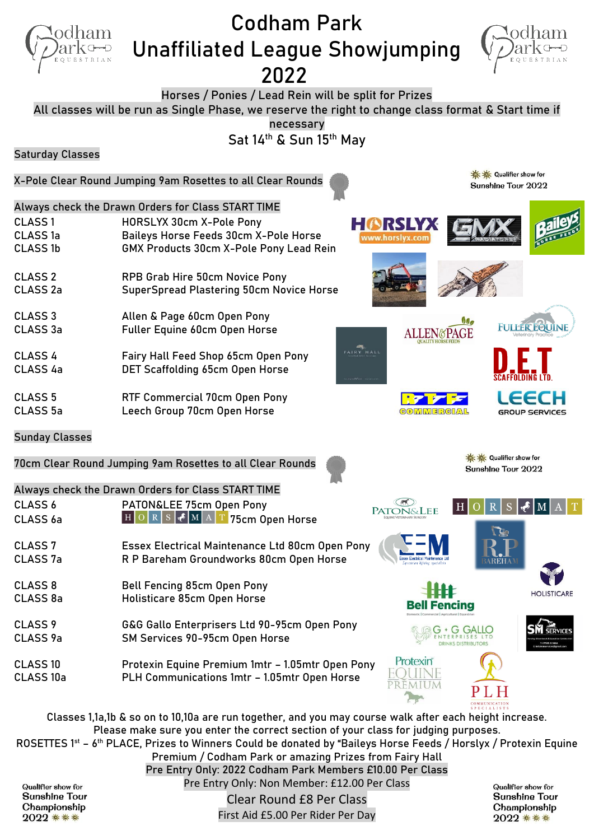

Qualifier show for **Sunshine Tour** Championship 

Clear Round £8 Per Class First Aid £5.00 Per Rider Per Day Qualifier show for **Sunshine Tour** Championship 2022 尊尊尊